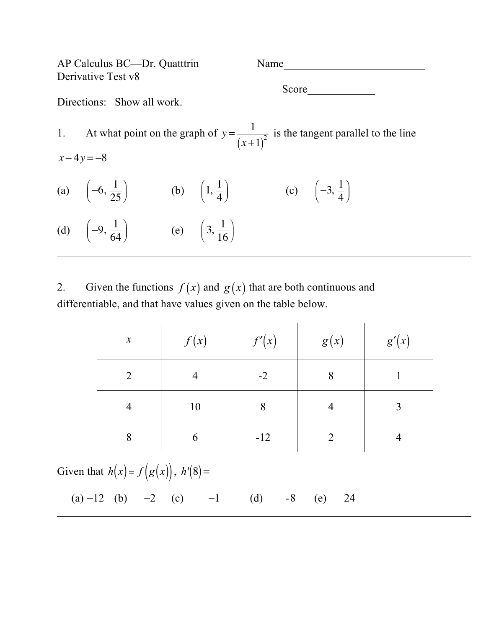AP Calculus BC—Dr. Quatttrin Name Derivative Test v8 Score and second second second second second second second second second second second second second second second second second second second second second second second second second second second second second second se Directions: Show all work. 1. At what point on the graph of  $y = \frac{1}{x}$  $(x+1)$  $\frac{1}{2}$  is the tangent parallel to the line *x* − 4*y* = −8 (a)  $\left(-6, \frac{1}{25}\right)$ 25  $\sqrt{}$  $\left(-6, \frac{1}{25}\right)$  (b)  $\left(1, \frac{1}{4}\right)$  $\sqrt{2}$  $(1, \frac{1}{4})$  (c)  $(-3, \frac{1}{4})$  $\sqrt{}$  $\left(-3, \frac{1}{4}\right)$ (d)  $\left(-9, \frac{1}{6}\right)$ 64  $\sqrt{}$  $\left(-9, \frac{1}{64}\right)$  (e)  $\left(3, \frac{1}{16}\right)$  $\sqrt{}$  $\left(3,\frac{1}{16}\right)$ 

2. Given the functions  $f(x)$  and  $g(x)$  that are both continuous and differentiable, and that have values given on the table below.

| $\boldsymbol{\mathcal{X}}$ | f(x) | f'(x) | g(x) | g'(x) |
|----------------------------|------|-------|------|-------|
| $\overline{2}$             | 4    | $-2$  | 8    |       |
| 4                          | 10   | 8     |      | 3     |
| 8                          | 6    | $-12$ |      |       |

Given that  $h(x) = f(g(x))$ ,  $h'(8) =$ 

(a)  $-12$  (b)  $-2$  (c)  $-1$  (d)  $-8$  (e) 24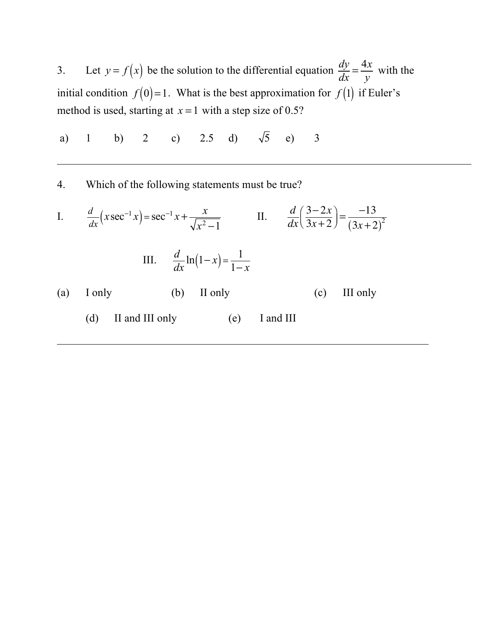3. Let  $y = f(x)$  be the solution to the differential equation  $\frac{dy}{dx} = \frac{4x}{y}$ with the initial condition  $f(0)=1$ . What is the best approximation for  $f(1)$  if Euler's method is used, starting at  $x = 1$  with a step size of 0.5?

a) 1 b) 2 c) 2.5 d)  $\sqrt{5}$  e) 3

4. Which of the following statements must be true?

I. 
$$
\frac{d}{dx}(x\sec^{-1}x) = \sec^{-1}x + \frac{x}{\sqrt{x^2 - 1}}
$$
 II. 
$$
\frac{d}{dx}\left(\frac{3 - 2x}{3x + 2}\right) = \frac{-13}{(3x + 2)^2}
$$
  
III. 
$$
\frac{d}{dx}\ln(1 - x) = \frac{1}{1 - x}
$$
  
(a) I only (b) II only (c) III only  
(d) II and III only (e) I and III (1)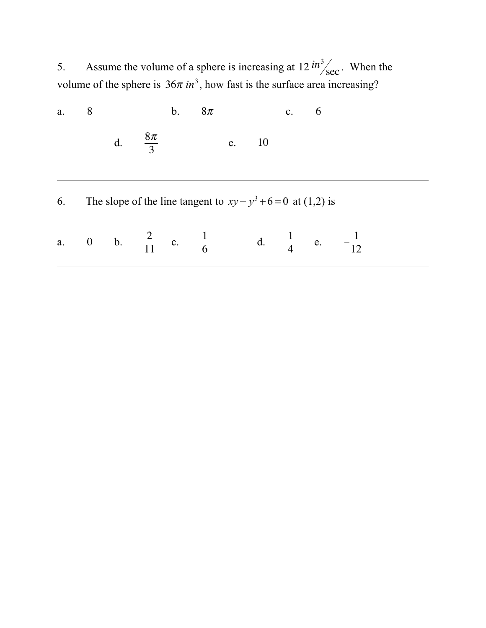5. Assume the volume of a sphere is increasing at  $12 \frac{\text{in}^3}{\text{sec}}$ . When the volume of the sphere is  $36\pi$  *in*<sup>3</sup>, how fast is the surface area increasing?

| a. | 8 |                                                                 |                     | b. | $8\pi$ |       | $c_{\cdot}$ | 6 |                                                                             |  |
|----|---|-----------------------------------------------------------------|---------------------|----|--------|-------|-------------|---|-----------------------------------------------------------------------------|--|
|    |   |                                                                 | d. $\frac{8\pi}{3}$ |    |        | e. 10 |             |   |                                                                             |  |
| 6. |   | The slope of the line tangent to $xy - y^3 + 6 = 0$ at (1,2) is |                     |    |        |       |             |   |                                                                             |  |
|    |   |                                                                 |                     |    |        |       |             |   | a. 0 b. $\frac{2}{11}$ c. $\frac{1}{6}$ d. $\frac{1}{4}$ e. $-\frac{1}{12}$ |  |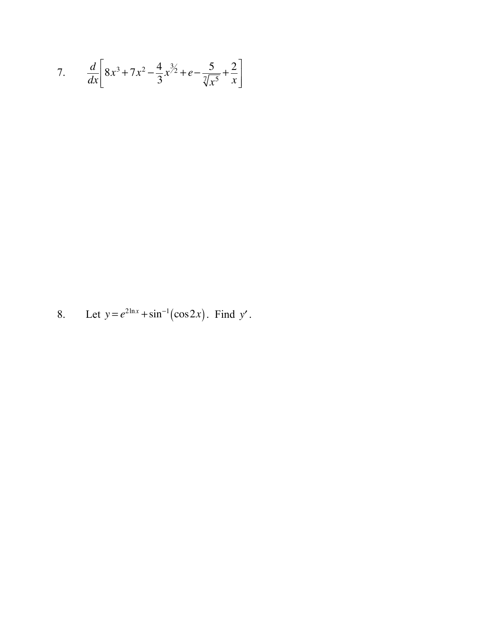7. 
$$
\frac{d}{dx}\left[8x^3 + 7x^2 - \frac{4}{3}x^{\frac{3}{2}} + e - \frac{5}{\sqrt[7]{x^5}} + \frac{2}{x}\right]
$$

Let  $y = e^{2\ln x} + \sin^{-1}(\cos 2x)$ . Find y'. 8.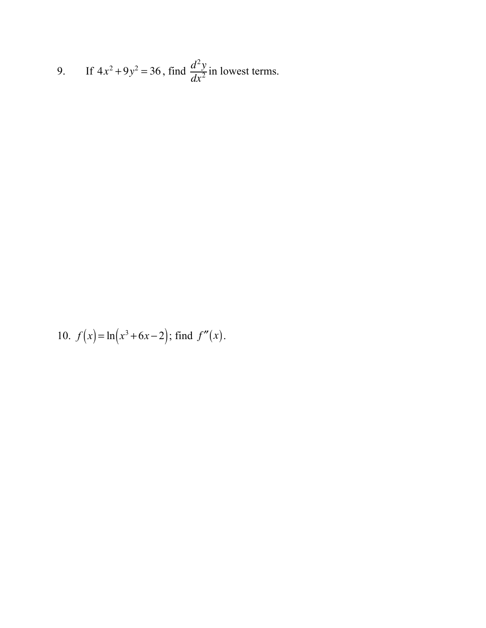9. If 
$$
4x^2 + 9y^2 = 36
$$
, find  $\frac{d^2y}{dx^2}$  in lowest terms.

10. 
$$
f(x) = \ln(x^3 + 6x - 2)
$$
; find  $f''(x)$ .